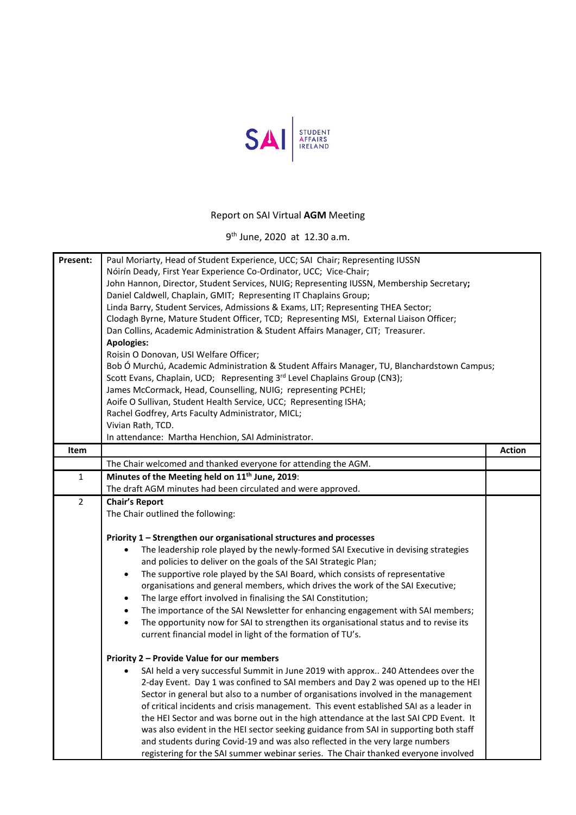

## Report on SAI Virtual **AGM** Meeting

9th June, 2020 at 12.30 a.m.

| Present:       | Paul Moriarty, Head of Student Experience, UCC; SAI Chair; Representing IUSSN<br>Nóirín Deady, First Year Experience Co-Ordinator, UCC; Vice-Chair;<br>John Hannon, Director, Student Services, NUIG; Representing IUSSN, Membership Secretary;<br>Daniel Caldwell, Chaplain, GMIT; Representing IT Chaplains Group;<br>Linda Barry, Student Services, Admissions & Exams, LIT; Representing THEA Sector;<br>Clodagh Byrne, Mature Student Officer, TCD; Representing MSI, External Liaison Officer;<br>Dan Collins, Academic Administration & Student Affairs Manager, CIT; Treasurer. |               |
|----------------|-----------------------------------------------------------------------------------------------------------------------------------------------------------------------------------------------------------------------------------------------------------------------------------------------------------------------------------------------------------------------------------------------------------------------------------------------------------------------------------------------------------------------------------------------------------------------------------------|---------------|
|                | <b>Apologies:</b>                                                                                                                                                                                                                                                                                                                                                                                                                                                                                                                                                                       |               |
|                | Roisin O Donovan, USI Welfare Officer;<br>Bob Ó Murchú, Academic Administration & Student Affairs Manager, TU, Blanchardstown Campus;                                                                                                                                                                                                                                                                                                                                                                                                                                                   |               |
|                | Scott Evans, Chaplain, UCD; Representing 3rd Level Chaplains Group (CN3);                                                                                                                                                                                                                                                                                                                                                                                                                                                                                                               |               |
|                | James McCormack, Head, Counselling, NUIG; representing PCHEI;                                                                                                                                                                                                                                                                                                                                                                                                                                                                                                                           |               |
|                | Aoife O Sullivan, Student Health Service, UCC; Representing ISHA;                                                                                                                                                                                                                                                                                                                                                                                                                                                                                                                       |               |
|                | Rachel Godfrey, Arts Faculty Administrator, MICL;                                                                                                                                                                                                                                                                                                                                                                                                                                                                                                                                       |               |
|                | Vivian Rath, TCD.<br>In attendance: Martha Henchion, SAI Administrator.                                                                                                                                                                                                                                                                                                                                                                                                                                                                                                                 |               |
| Item           |                                                                                                                                                                                                                                                                                                                                                                                                                                                                                                                                                                                         | <b>Action</b> |
|                | The Chair welcomed and thanked everyone for attending the AGM.                                                                                                                                                                                                                                                                                                                                                                                                                                                                                                                          |               |
| 1              | Minutes of the Meeting held on 11 <sup>th</sup> June, 2019:                                                                                                                                                                                                                                                                                                                                                                                                                                                                                                                             |               |
|                | The draft AGM minutes had been circulated and were approved.                                                                                                                                                                                                                                                                                                                                                                                                                                                                                                                            |               |
| $\overline{2}$ | <b>Chair's Report</b>                                                                                                                                                                                                                                                                                                                                                                                                                                                                                                                                                                   |               |
|                | The Chair outlined the following:                                                                                                                                                                                                                                                                                                                                                                                                                                                                                                                                                       |               |
|                | Priority 1 - Strengthen our organisational structures and processes                                                                                                                                                                                                                                                                                                                                                                                                                                                                                                                     |               |
|                | The leadership role played by the newly-formed SAI Executive in devising strategies                                                                                                                                                                                                                                                                                                                                                                                                                                                                                                     |               |
|                | and policies to deliver on the goals of the SAI Strategic Plan;                                                                                                                                                                                                                                                                                                                                                                                                                                                                                                                         |               |
|                | The supportive role played by the SAI Board, which consists of representative<br>$\bullet$                                                                                                                                                                                                                                                                                                                                                                                                                                                                                              |               |
|                | organisations and general members, which drives the work of the SAI Executive;                                                                                                                                                                                                                                                                                                                                                                                                                                                                                                          |               |
|                | The large effort involved in finalising the SAI Constitution;<br>$\bullet$                                                                                                                                                                                                                                                                                                                                                                                                                                                                                                              |               |
|                | The importance of the SAI Newsletter for enhancing engagement with SAI members;<br>$\bullet$                                                                                                                                                                                                                                                                                                                                                                                                                                                                                            |               |
|                | The opportunity now for SAI to strengthen its organisational status and to revise its<br>$\bullet$<br>current financial model in light of the formation of TU's.                                                                                                                                                                                                                                                                                                                                                                                                                        |               |
|                | Priority 2 - Provide Value for our members                                                                                                                                                                                                                                                                                                                                                                                                                                                                                                                                              |               |
|                | SAI held a very successful Summit in June 2019 with approx 240 Attendees over the                                                                                                                                                                                                                                                                                                                                                                                                                                                                                                       |               |
|                | 2-day Event. Day 1 was confined to SAI members and Day 2 was opened up to the HEI                                                                                                                                                                                                                                                                                                                                                                                                                                                                                                       |               |
|                | Sector in general but also to a number of organisations involved in the management                                                                                                                                                                                                                                                                                                                                                                                                                                                                                                      |               |
|                | of critical incidents and crisis management. This event established SAI as a leader in                                                                                                                                                                                                                                                                                                                                                                                                                                                                                                  |               |
|                | the HEI Sector and was borne out in the high attendance at the last SAI CPD Event. It                                                                                                                                                                                                                                                                                                                                                                                                                                                                                                   |               |
|                | was also evident in the HEI sector seeking guidance from SAI in supporting both staff<br>and students during Covid-19 and was also reflected in the very large numbers                                                                                                                                                                                                                                                                                                                                                                                                                  |               |
|                | registering for the SAI summer webinar series. The Chair thanked everyone involved                                                                                                                                                                                                                                                                                                                                                                                                                                                                                                      |               |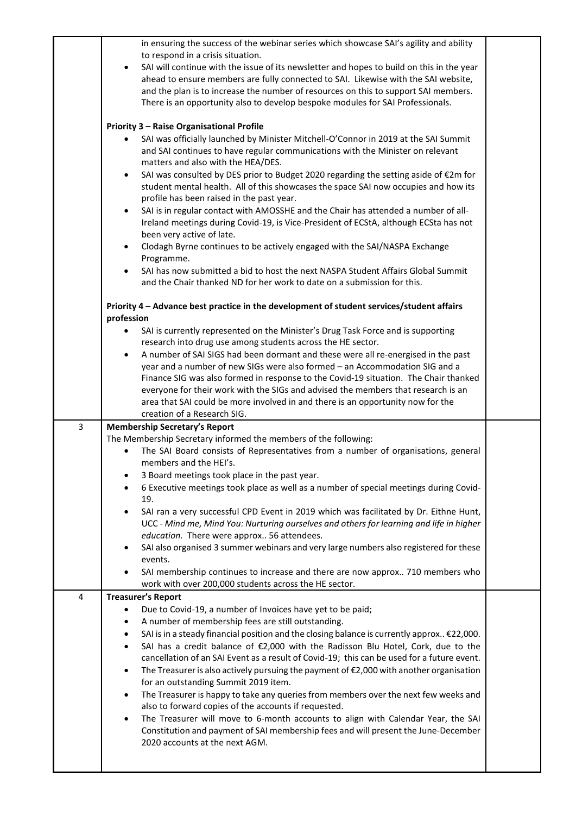|   | Constitution and payment of SAI membership fees and will present the June-December<br>2020 accounts at the next AGM.                                                                                                                                      |  |
|---|-----------------------------------------------------------------------------------------------------------------------------------------------------------------------------------------------------------------------------------------------------------|--|
|   | The Treasurer is happy to take any queries from members over the next few weeks and<br>$\bullet$<br>also to forward copies of the accounts if requested.<br>The Treasurer will move to 6-month accounts to align with Calendar Year, the SAI<br>$\bullet$ |  |
|   | cancellation of an SAI Event as a result of Covid-19; this can be used for a future event.<br>The Treasurer is also actively pursuing the payment of $\epsilon$ 2,000 with another organisation<br>$\bullet$<br>for an outstanding Summit 2019 item.      |  |
|   | SAI is in a steady financial position and the closing balance is currently approx €22,000.<br>SAI has a credit balance of $\epsilon$ 2,000 with the Radisson Blu Hotel, Cork, due to the<br>$\bullet$                                                     |  |
|   | A number of membership fees are still outstanding.                                                                                                                                                                                                        |  |
|   | Due to Covid-19, a number of Invoices have yet to be paid;                                                                                                                                                                                                |  |
| 4 | <b>Treasurer's Report</b>                                                                                                                                                                                                                                 |  |
|   | SAI membership continues to increase and there are now approx 710 members who<br>work with over 200,000 students across the HE sector.                                                                                                                    |  |
|   | events.                                                                                                                                                                                                                                                   |  |
|   | education. There were approx 56 attendees.<br>SAI also organised 3 summer webinars and very large numbers also registered for these                                                                                                                       |  |
|   | UCC - Mind me, Mind You: Nurturing ourselves and others for learning and life in higher                                                                                                                                                                   |  |
|   | 19.<br>SAI ran a very successful CPD Event in 2019 which was facilitated by Dr. Eithne Hunt,<br>$\bullet$                                                                                                                                                 |  |
|   | 6 Executive meetings took place as well as a number of special meetings during Covid-                                                                                                                                                                     |  |
|   | 3 Board meetings took place in the past year.                                                                                                                                                                                                             |  |
|   | The SAI Board consists of Representatives from a number of organisations, general<br>members and the HEI's.                                                                                                                                               |  |
|   | The Membership Secretary informed the members of the following:                                                                                                                                                                                           |  |
| 3 | <b>Membership Secretary's Report</b>                                                                                                                                                                                                                      |  |
|   | area that SAI could be more involved in and there is an opportunity now for the<br>creation of a Research SIG.                                                                                                                                            |  |
|   | everyone for their work with the SIGs and advised the members that research is an                                                                                                                                                                         |  |
|   | Finance SIG was also formed in response to the Covid-19 situation. The Chair thanked                                                                                                                                                                      |  |
|   | A number of SAI SIGS had been dormant and these were all re-energised in the past<br>$\bullet$<br>year and a number of new SIGs were also formed - an Accommodation SIG and a                                                                             |  |
|   | research into drug use among students across the HE sector.                                                                                                                                                                                               |  |
|   | SAI is currently represented on the Minister's Drug Task Force and is supporting                                                                                                                                                                          |  |
|   | Priority 4 - Advance best practice in the development of student services/student affairs<br>profession                                                                                                                                                   |  |
|   | and the Chair thanked ND for her work to date on a submission for this.                                                                                                                                                                                   |  |
|   | SAI has now submitted a bid to host the next NASPA Student Affairs Global Summit                                                                                                                                                                          |  |
|   | Clodagh Byrne continues to be actively engaged with the SAI/NASPA Exchange<br>Programme.                                                                                                                                                                  |  |
|   | been very active of late.                                                                                                                                                                                                                                 |  |
|   | SAI is in regular contact with AMOSSHE and the Chair has attended a number of all-<br>$\bullet$<br>Ireland meetings during Covid-19, is Vice-President of ECStA, although ECSta has not                                                                   |  |
|   | profile has been raised in the past year.                                                                                                                                                                                                                 |  |
|   | SAI was consulted by DES prior to Budget 2020 regarding the setting aside of €2m for<br>$\bullet$<br>student mental health. All of this showcases the space SAI now occupies and how its                                                                  |  |
|   | matters and also with the HEA/DES.                                                                                                                                                                                                                        |  |
|   | SAI was officially launched by Minister Mitchell-O'Connor in 2019 at the SAI Summit<br>and SAI continues to have regular communications with the Minister on relevant                                                                                     |  |
|   | <b>Priority 3 - Raise Organisational Profile</b>                                                                                                                                                                                                          |  |
|   |                                                                                                                                                                                                                                                           |  |
|   | and the plan is to increase the number of resources on this to support SAI members.<br>There is an opportunity also to develop bespoke modules for SAI Professionals.                                                                                     |  |
|   | ahead to ensure members are fully connected to SAI. Likewise with the SAI website,                                                                                                                                                                        |  |
|   | to respond in a crisis situation.<br>SAI will continue with the issue of its newsletter and hopes to build on this in the year                                                                                                                            |  |
|   | in ensuring the success of the webinar series which showcase SAI's agility and ability                                                                                                                                                                    |  |